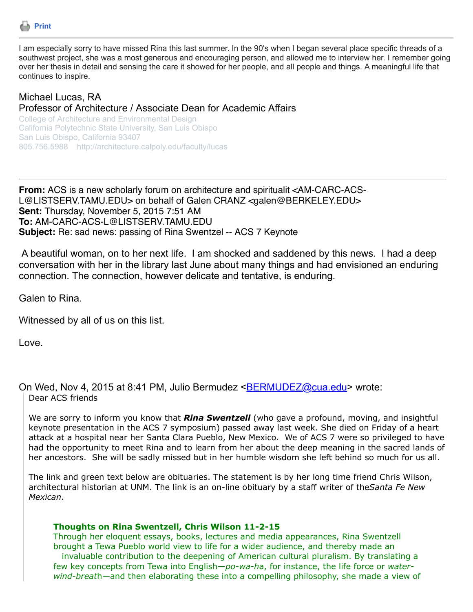

I am especially sorry to have missed Rina this last summer. In the 90's when I began several place specific threads of a southwest project, she was a most generous and encouraging person, and allowed me to interview her. I remember going over her thesis in detail and sensing the care it showed for her people, and all people and things. A meaningful life that continues to inspire.

## Michael Lucas, RA Professor of Architecture / Associate Dean for Academic Affairs

College of Architecture and Environmental Design California Polytechnic State University, San Luis Obispo San Luis Obispo, California 93407 805.756.5988 http://architecture.calpoly.edu/faculty/lucas

**From:** ACS is a new scholarly forum on architecture and spiritualit <AM-CARC-ACS-L@LISTSERV.TAMU.EDU> on behalf of Galen CRANZ <galen@BERKELEY.EDU> **Sent:** Thursday, November 5, 2015 7:51 AM **To:** AM-CARC-ACS-L@LISTSERV.TAMU.EDU **Subject:** Re: sad news: passing of Rina Swentzel -- ACS 7 Keynote

 A beautiful woman, on to her next life. I am shocked and saddened by this news. I had a deep conversation with her in the library last June about many things and had envisioned an enduring connection. The connection, however delicate and tentative, is enduring.

Galen to Rina.

Witnessed by all of us on this list.

Love.

On Wed, Nov 4, 2015 at 8:41 PM, Julio Bermudez [<BERMUDEZ@cua.edu](mailto:BERMUDEZ@cua.edu)> wrote: Dear ACS friends

We are sorry to inform you know that *Rina Swentzell* (who gave a profound, moving, and insightful keynote presentation in the ACS 7 symposium) passed away last week. She died on Friday of a heart attack at a hospital near her Santa Clara Pueblo, New Mexico. We of ACS 7 were so privileged to have had the opportunity to meet Rina and to learn from her about the deep meaning in the sacred lands of her ancestors. She will be sadly missed but in her humble wisdom she left behind so much for us all.

The link and green text below are obituaries. The statement is by her long time friend Chris Wilson, architectural historian at UNM. The link is an on-line obituary by a staff writer of the*Santa Fe New Mexican*.

## **Thoughts on Rina Swentzell, Chris Wilson 11-2-15**

Through her eloquent essays, books, lectures and media appearances, Rina Swentzell brought a Tewa Pueblo world view to life for a wider audience, and thereby made an invaluable contribution to the deepening of American cultural pluralism. By translating a few key concepts from Tewa into English*—po-wa-h*a, for instance, the life force or *waterwind-breat*h—and then elaborating these into a compelling philosophy, she made a view of